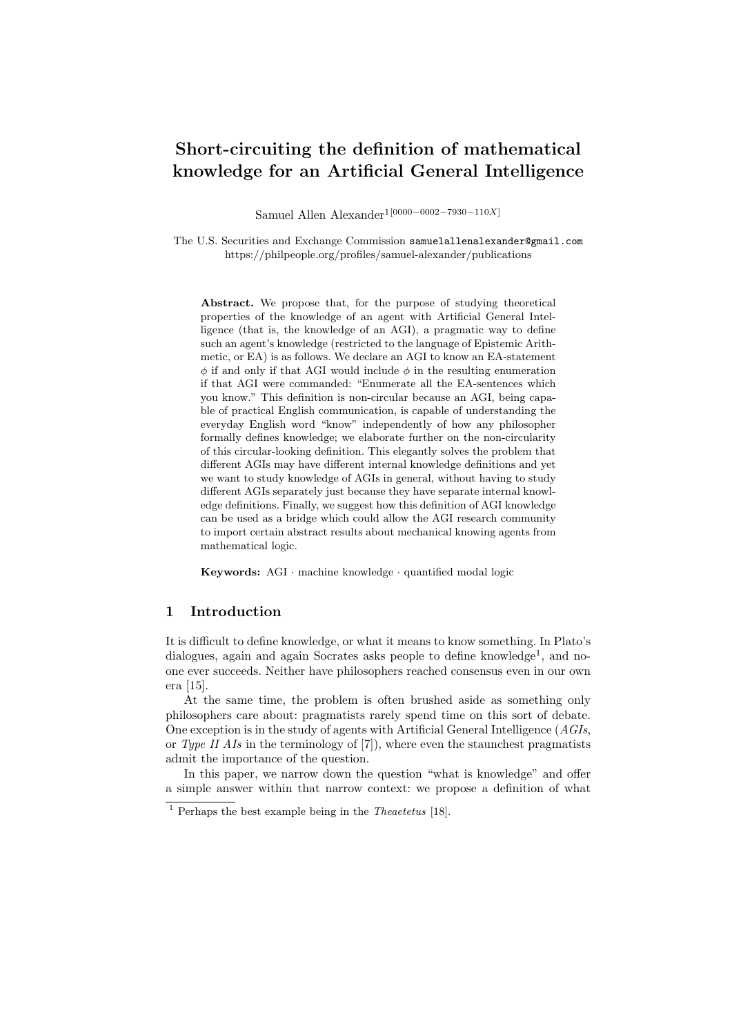# Short-circuiting the definition of mathematical knowledge for an Artificial General Intelligence

Samuel Allen Alexander<sup>1[0000−0002−7930−110X]</sup>

The U.S. Securities and Exchange Commission samuelallenalexander@gmail.com https://philpeople.org/profiles/samuel-alexander/publications

Abstract. We propose that, for the purpose of studying theoretical properties of the knowledge of an agent with Artificial General Intelligence (that is, the knowledge of an AGI), a pragmatic way to define such an agent's knowledge (restricted to the language of Epistemic Arithmetic, or EA) is as follows. We declare an AGI to know an EA-statement  $\phi$  if and only if that AGI would include  $\phi$  in the resulting enumeration if that AGI were commanded: "Enumerate all the EA-sentences which you know." This definition is non-circular because an AGI, being capable of practical English communication, is capable of understanding the everyday English word "know" independently of how any philosopher formally defines knowledge; we elaborate further on the non-circularity of this circular-looking definition. This elegantly solves the problem that different AGIs may have different internal knowledge definitions and yet we want to study knowledge of AGIs in general, without having to study different AGIs separately just because they have separate internal knowledge definitions. Finally, we suggest how this definition of AGI knowledge can be used as a bridge which could allow the AGI research community to import certain abstract results about mechanical knowing agents from mathematical logic.

Keywords: AGI · machine knowledge · quantified modal logic

# 1 Introduction

It is difficult to define knowledge, or what it means to know something. In Plato's dialogues, again and again Socrates asks people to define knowledge<sup>1</sup>, and noone ever succeeds. Neither have philosophers reached consensus even in our own era [15].

At the same time, the problem is often brushed aside as something only philosophers care about: pragmatists rarely spend time on this sort of debate. One exception is in the study of agents with Artificial General Intelligence (AGIs, or Type II AIs in the terminology of  $[7]$ , where even the staunchest pragmatists admit the importance of the question.

In this paper, we narrow down the question "what is knowledge" and offer a simple answer within that narrow context: we propose a definition of what

 $1$  Perhaps the best example being in the *Theaetetus* [18].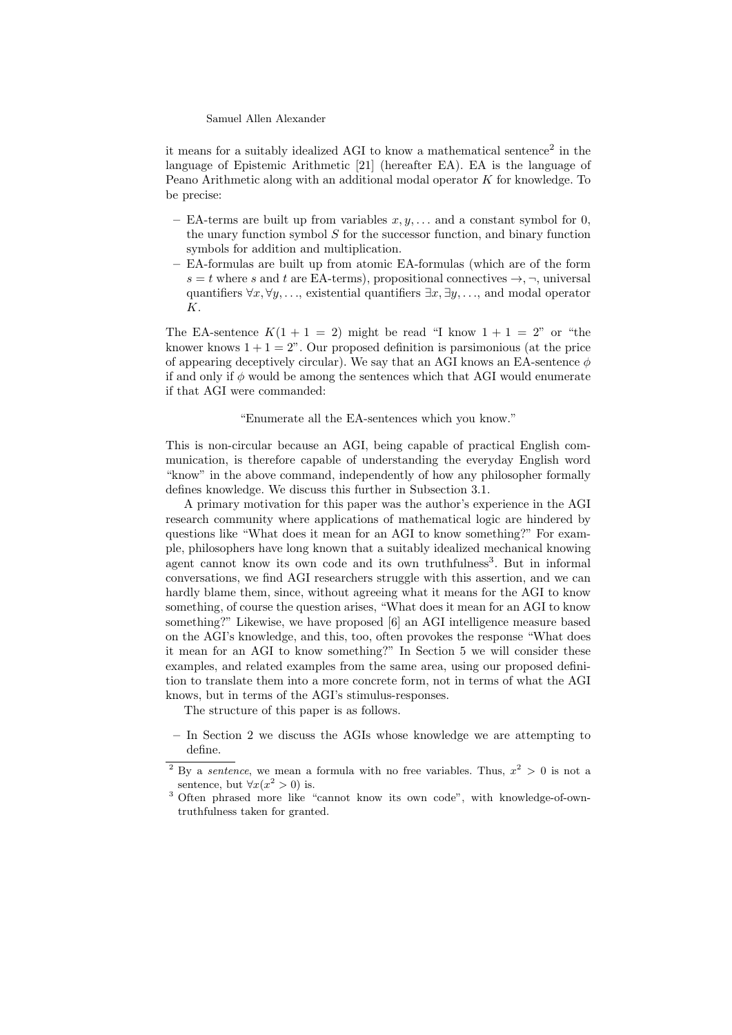it means for a suitably idealized AGI to know a mathematical sentence<sup>2</sup> in the language of Epistemic Arithmetic [21] (hereafter EA). EA is the language of Peano Arithmetic along with an additional modal operator  $K$  for knowledge. To be precise:

- EA-terms are built up from variables  $x, y, \ldots$  and a constant symbol for 0, the unary function symbol  $S$  for the successor function, and binary function symbols for addition and multiplication.
- EA-formulas are built up from atomic EA-formulas (which are of the form  $s = t$  where s and t are EA-terms), propositional connectives  $\rightarrow$ ,  $\neg$ , universal quantifiers  $\forall x, \forall y, \ldots$ , existential quantifiers  $\exists x, \exists y, \ldots$ , and modal operator K.

The EA-sentence  $K(1 + 1 = 2)$  might be read "I know  $1 + 1 = 2$ " or "the knower knows  $1 + 1 = 2$ ". Our proposed definition is parsimonious (at the price of appearing deceptively circular). We say that an AGI knows an EA-sentence  $\phi$ if and only if  $\phi$  would be among the sentences which that AGI would enumerate if that AGI were commanded:

"Enumerate all the EA-sentences which you know."

This is non-circular because an AGI, being capable of practical English communication, is therefore capable of understanding the everyday English word "know" in the above command, independently of how any philosopher formally defines knowledge. We discuss this further in Subsection 3.1.

A primary motivation for this paper was the author's experience in the AGI research community where applications of mathematical logic are hindered by questions like "What does it mean for an AGI to know something?" For example, philosophers have long known that a suitably idealized mechanical knowing agent cannot know its own code and its own truthfulness<sup>3</sup>. But in informal conversations, we find AGI researchers struggle with this assertion, and we can hardly blame them, since, without agreeing what it means for the AGI to know something, of course the question arises, "What does it mean for an AGI to know something?" Likewise, we have proposed [6] an AGI intelligence measure based on the AGI's knowledge, and this, too, often provokes the response "What does it mean for an AGI to know something?" In Section 5 we will consider these examples, and related examples from the same area, using our proposed definition to translate them into a more concrete form, not in terms of what the AGI knows, but in terms of the AGI's stimulus-responses.

The structure of this paper is as follows.

– In Section 2 we discuss the AGIs whose knowledge we are attempting to define.

<sup>&</sup>lt;sup>2</sup> By a sentence, we mean a formula with no free variables. Thus,  $x^2 > 0$  is not a sentence, but  $\forall x (x^2 > 0)$  is.

<sup>3</sup> Often phrased more like "cannot know its own code", with knowledge-of-owntruthfulness taken for granted.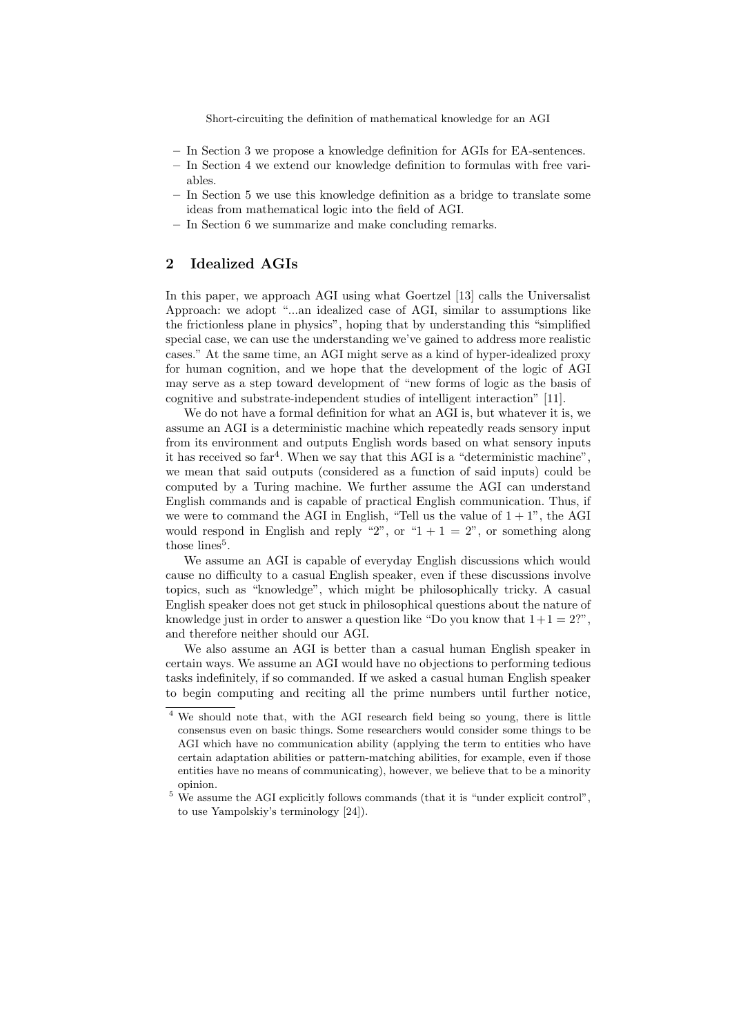- In Section 3 we propose a knowledge definition for AGIs for EA-sentences.
- In Section 4 we extend our knowledge definition to formulas with free variables.
- In Section 5 we use this knowledge definition as a bridge to translate some ideas from mathematical logic into the field of AGI.
- In Section 6 we summarize and make concluding remarks.

## 2 Idealized AGIs

In this paper, we approach AGI using what Goertzel [13] calls the Universalist Approach: we adopt "...an idealized case of AGI, similar to assumptions like the frictionless plane in physics", hoping that by understanding this "simplified special case, we can use the understanding we've gained to address more realistic cases." At the same time, an AGI might serve as a kind of hyper-idealized proxy for human cognition, and we hope that the development of the logic of AGI may serve as a step toward development of "new forms of logic as the basis of cognitive and substrate-independent studies of intelligent interaction" [11].

We do not have a formal definition for what an AGI is, but whatever it is, we assume an AGI is a deterministic machine which repeatedly reads sensory input from its environment and outputs English words based on what sensory inputs it has received so far<sup>4</sup>. When we say that this AGI is a "deterministic machine", we mean that said outputs (considered as a function of said inputs) could be computed by a Turing machine. We further assume the AGI can understand English commands and is capable of practical English communication. Thus, if we were to command the AGI in English, "Tell us the value of  $1 + 1$ ", the AGI would respond in English and reply "2", or " $1 + 1 = 2$ ", or something along those lines<sup>5</sup>.

We assume an AGI is capable of everyday English discussions which would cause no difficulty to a casual English speaker, even if these discussions involve topics, such as "knowledge", which might be philosophically tricky. A casual English speaker does not get stuck in philosophical questions about the nature of knowledge just in order to answer a question like "Do you know that  $1+1=2$ ?", and therefore neither should our AGI.

We also assume an AGI is better than a casual human English speaker in certain ways. We assume an AGI would have no objections to performing tedious tasks indefinitely, if so commanded. If we asked a casual human English speaker to begin computing and reciting all the prime numbers until further notice,

<sup>4</sup> We should note that, with the AGI research field being so young, there is little consensus even on basic things. Some researchers would consider some things to be AGI which have no communication ability (applying the term to entities who have certain adaptation abilities or pattern-matching abilities, for example, even if those entities have no means of communicating), however, we believe that to be a minority opinion.

<sup>5</sup> We assume the AGI explicitly follows commands (that it is "under explicit control", to use Yampolskiy's terminology [24]).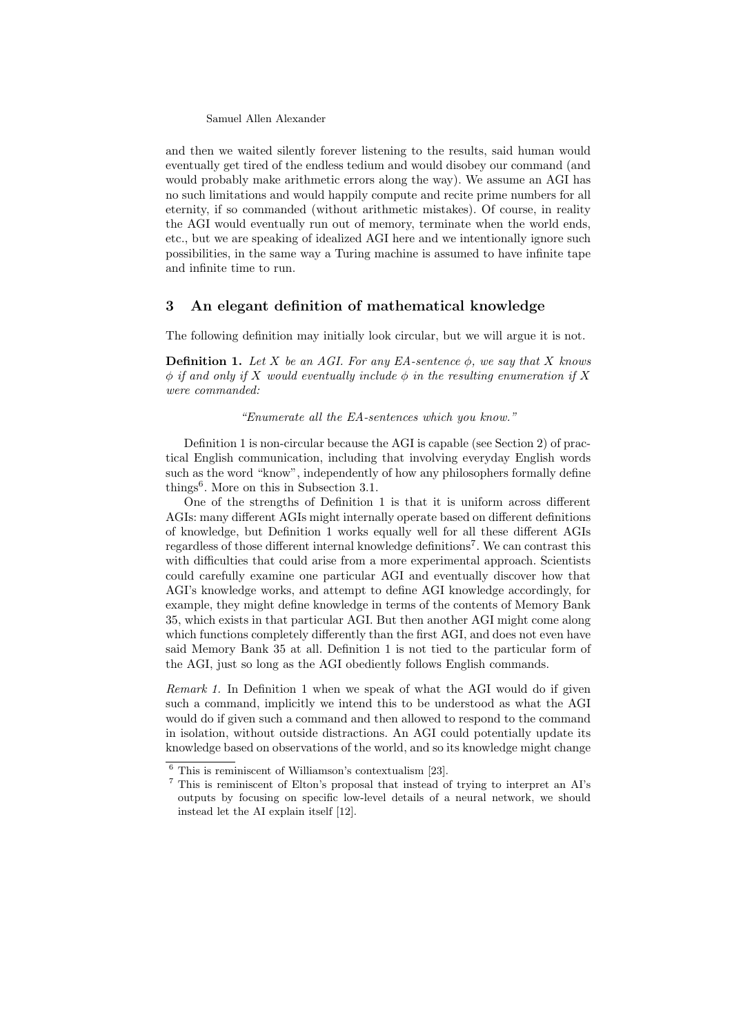and then we waited silently forever listening to the results, said human would eventually get tired of the endless tedium and would disobey our command (and would probably make arithmetic errors along the way). We assume an AGI has no such limitations and would happily compute and recite prime numbers for all eternity, if so commanded (without arithmetic mistakes). Of course, in reality the AGI would eventually run out of memory, terminate when the world ends, etc., but we are speaking of idealized AGI here and we intentionally ignore such possibilities, in the same way a Turing machine is assumed to have infinite tape and infinite time to run.

## 3 An elegant definition of mathematical knowledge

The following definition may initially look circular, but we will argue it is not.

**Definition 1.** Let X be an AGI. For any EA-sentence  $\phi$ , we say that X knows  $\phi$  if and only if X would eventually include  $\phi$  in the resulting enumeration if X were commanded:

#### "Enumerate all the EA-sentences which you know."

Definition 1 is non-circular because the AGI is capable (see Section 2) of practical English communication, including that involving everyday English words such as the word "know", independently of how any philosophers formally define things<sup>6</sup>. More on this in Subsection 3.1.

One of the strengths of Definition 1 is that it is uniform across different AGIs: many different AGIs might internally operate based on different definitions of knowledge, but Definition 1 works equally well for all these different AGIs regardless of those different internal knowledge definitions<sup>7</sup>. We can contrast this with difficulties that could arise from a more experimental approach. Scientists could carefully examine one particular AGI and eventually discover how that AGI's knowledge works, and attempt to define AGI knowledge accordingly, for example, they might define knowledge in terms of the contents of Memory Bank 35, which exists in that particular AGI. But then another AGI might come along which functions completely differently than the first AGI, and does not even have said Memory Bank 35 at all. Definition 1 is not tied to the particular form of the AGI, just so long as the AGI obediently follows English commands.

Remark 1. In Definition 1 when we speak of what the AGI would do if given such a command, implicitly we intend this to be understood as what the AGI would do if given such a command and then allowed to respond to the command in isolation, without outside distractions. An AGI could potentially update its knowledge based on observations of the world, and so its knowledge might change

 $6$  This is reminiscent of Williamson's contextualism [23].

<sup>7</sup> This is reminiscent of Elton's proposal that instead of trying to interpret an AI's outputs by focusing on specific low-level details of a neural network, we should instead let the AI explain itself [12].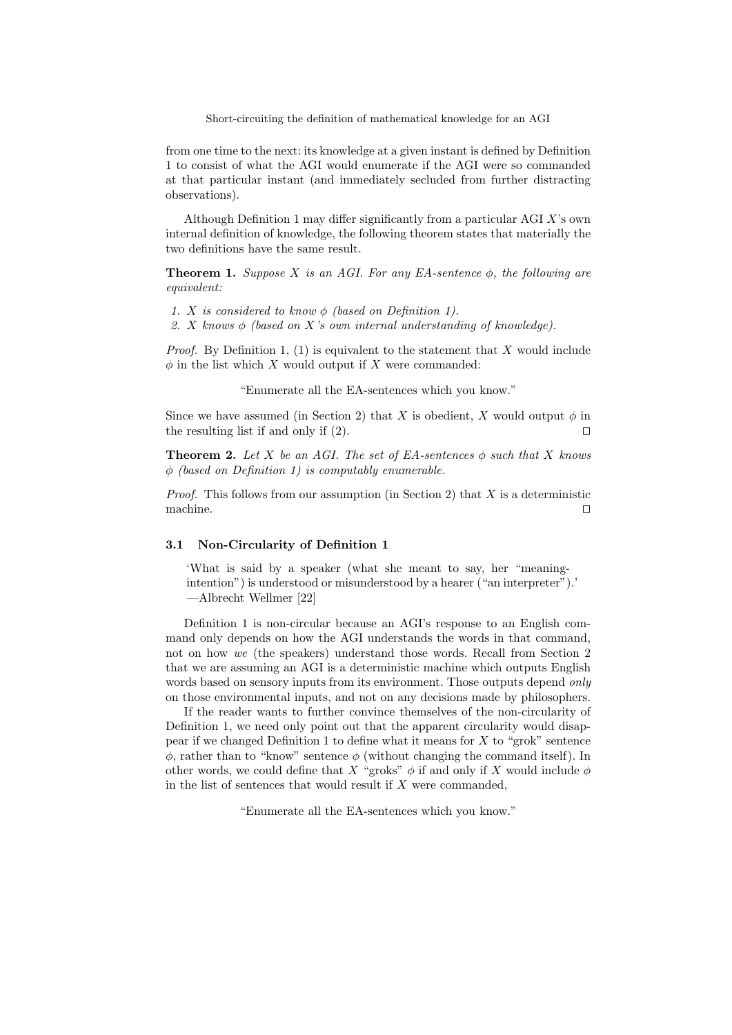from one time to the next: its knowledge at a given instant is defined by Definition 1 to consist of what the AGI would enumerate if the AGI were so commanded at that particular instant (and immediately secluded from further distracting observations).

Although Definition 1 may differ significantly from a particular AGI  $X$ 's own internal definition of knowledge, the following theorem states that materially the two definitions have the same result.

**Theorem 1.** Suppose X is an AGI. For any EA-sentence  $\phi$ , the following are equivalent:

- 1. X is considered to know  $\phi$  (based on Definition 1).
- 2. X knows  $\phi$  (based on X's own internal understanding of knowledge).

*Proof.* By Definition 1, (1) is equivalent to the statement that  $X$  would include  $\phi$  in the list which X would output if X were commanded:

"Enumerate all the EA-sentences which you know."

Since we have assumed (in Section 2) that X is obedient, X would output  $\phi$  in the resulting list if and only if  $(2)$ .

**Theorem 2.** Let X be an AGI. The set of EA-sentences  $\phi$  such that X knows φ (based on Definition 1) is computably enumerable.

*Proof.* This follows from our assumption (in Section 2) that  $X$  is a deterministic machine.  $\Box$ 

## 3.1 Non-Circularity of Definition 1

'What is said by a speaker (what she meant to say, her "meaningintention") is understood or misunderstood by a hearer ("an interpreter").' —Albrecht Wellmer [22]

Definition 1 is non-circular because an AGI's response to an English command only depends on how the AGI understands the words in that command, not on how we (the speakers) understand those words. Recall from Section 2 that we are assuming an AGI is a deterministic machine which outputs English words based on sensory inputs from its environment. Those outputs depend *only* on those environmental inputs, and not on any decisions made by philosophers.

If the reader wants to further convince themselves of the non-circularity of Definition 1, we need only point out that the apparent circularity would disappear if we changed Definition 1 to define what it means for  $X$  to "grok" sentence  $\phi$ , rather than to "know" sentence  $\phi$  (without changing the command itself). In other words, we could define that X "groks"  $\phi$  if and only if X would include  $\phi$ in the list of sentences that would result if  $X$  were commanded,

"Enumerate all the EA-sentences which you know."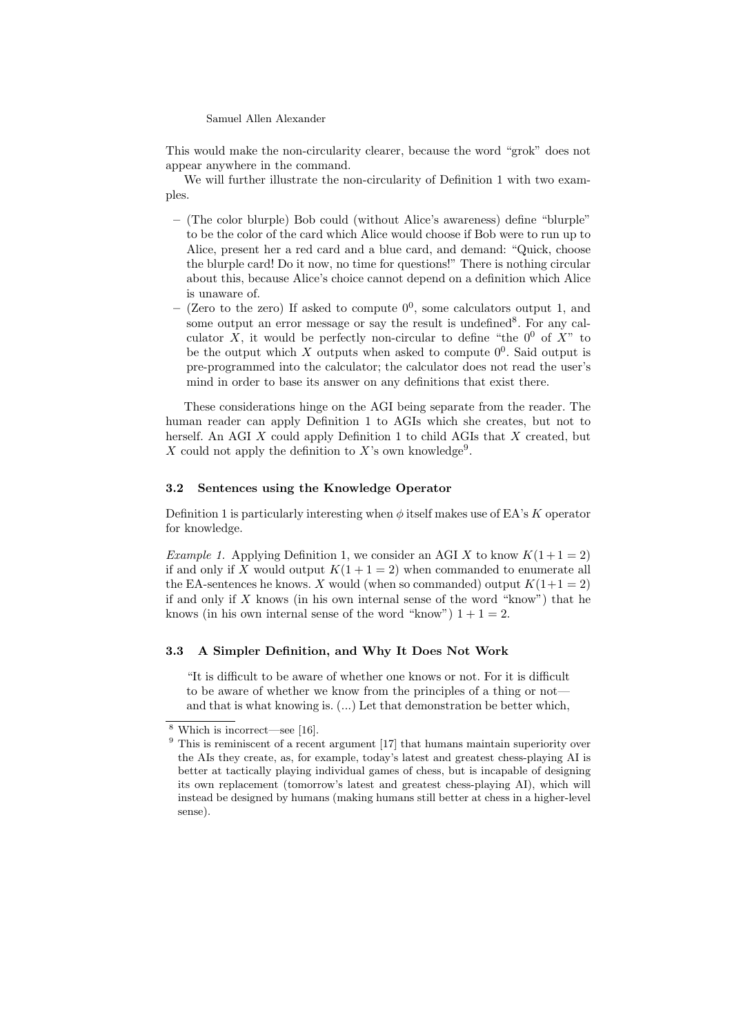This would make the non-circularity clearer, because the word "grok" does not appear anywhere in the command.

We will further illustrate the non-circularity of Definition 1 with two examples.

- (The color blurple) Bob could (without Alice's awareness) define "blurple" to be the color of the card which Alice would choose if Bob were to run up to Alice, present her a red card and a blue card, and demand: "Quick, choose the blurple card! Do it now, no time for questions!" There is nothing circular about this, because Alice's choice cannot depend on a definition which Alice is unaware of.
- $-$  (Zero to the zero) If asked to compute  $0^0$ , some calculators output 1, and some output an error message or say the result is undefined<sup>8</sup>. For any calculator X, it would be perfectly non-circular to define "the  $0^0$  of X" to be the output which X outputs when asked to compute  $0^0$ . Said output is pre-programmed into the calculator; the calculator does not read the user's mind in order to base its answer on any definitions that exist there.

These considerations hinge on the AGI being separate from the reader. The human reader can apply Definition 1 to AGIs which she creates, but not to herself. An AGI  $X$  could apply Definition 1 to child AGIs that  $X$  created, but X could not apply the definition to  $X$ 's own knowledge<sup>9</sup>.

#### 3.2 Sentences using the Knowledge Operator

Definition 1 is particularly interesting when  $\phi$  itself makes use of EA's K operator for knowledge.

*Example 1.* Applying Definition 1, we consider an AGI X to know  $K(1+1=2)$ if and only if X would output  $K(1 + 1 = 2)$  when commanded to enumerate all the EA-sentences he knows. X would (when so commanded) output  $K(1+1=2)$ if and only if  $X$  knows (in his own internal sense of the word "know") that he knows (in his own internal sense of the word "know")  $1 + 1 = 2$ .

#### 3.3 A Simpler Definition, and Why It Does Not Work

"It is difficult to be aware of whether one knows or not. For it is difficult to be aware of whether we know from the principles of a thing or not and that is what knowing is. (...) Let that demonstration be better which,

<sup>8</sup> Which is incorrect—see [16].

<sup>&</sup>lt;sup>9</sup> This is reminiscent of a recent argument [17] that humans maintain superiority over the AIs they create, as, for example, today's latest and greatest chess-playing AI is better at tactically playing individual games of chess, but is incapable of designing its own replacement (tomorrow's latest and greatest chess-playing AI), which will instead be designed by humans (making humans still better at chess in a higher-level sense).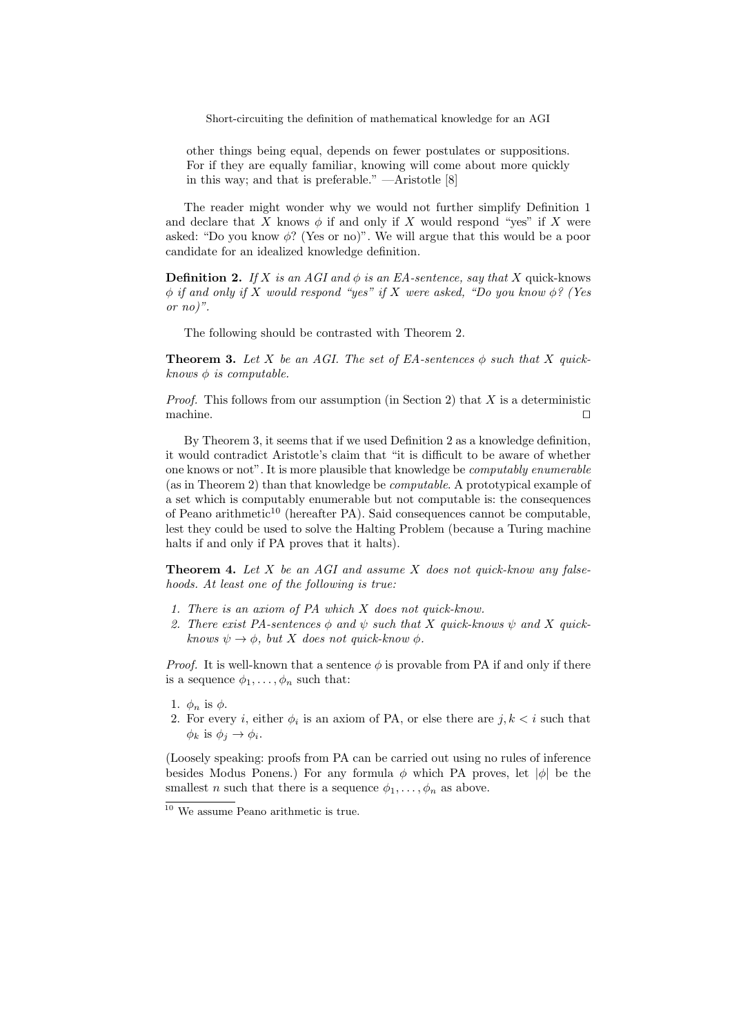other things being equal, depends on fewer postulates or suppositions. For if they are equally familiar, knowing will come about more quickly in this way; and that is preferable." —Aristotle [8]

The reader might wonder why we would not further simplify Definition 1 and declare that X knows  $\phi$  if and only if X would respond "yes" if X were asked: "Do you know  $\phi$ ? (Yes or no)". We will argue that this would be a poor candidate for an idealized knowledge definition.

**Definition 2.** If X is an AGI and  $\phi$  is an EA-sentence, say that X quick-knows  $\phi$  if and only if X would respond "yes" if X were asked, "Do you know  $\phi$ ? (Yes or no)".

The following should be contrasted with Theorem 2.

**Theorem 3.** Let X be an AGI. The set of EA-sentences  $\phi$  such that X quickknows  $\phi$  is computable.

*Proof.* This follows from our assumption (in Section 2) that  $X$  is a deterministic machine.  $\Box$ 

By Theorem 3, it seems that if we used Definition 2 as a knowledge definition, it would contradict Aristotle's claim that "it is difficult to be aware of whether one knows or not". It is more plausible that knowledge be computably enumerable (as in Theorem 2) than that knowledge be computable. A prototypical example of a set which is computably enumerable but not computable is: the consequences of Peano arithmetic<sup>10</sup> (hereafter PA). Said consequences cannot be computable, lest they could be used to solve the Halting Problem (because a Turing machine halts if and only if PA proves that it halts).

**Theorem 4.** Let  $X$  be an  $AGI$  and assume  $X$  does not quick-know any falsehoods. At least one of the following is true:

- 1. There is an axiom of PA which X does not quick-know.
- 2. There exist PA-sentences  $\phi$  and  $\psi$  such that X quick-knows  $\psi$  and X quickknows  $\psi \to \phi$ , but X does not quick-know  $\phi$ .

*Proof.* It is well-known that a sentence  $\phi$  is provable from PA if and only if there is a sequence  $\phi_1, \ldots, \phi_n$  such that:

- 1.  $\phi_n$  is  $\phi$ .
- 2. For every *i*, either  $\phi_i$  is an axiom of PA, or else there are  $j, k < i$  such that  $\phi_k$  is  $\phi_j \rightarrow \phi_i$ .

(Loosely speaking: proofs from PA can be carried out using no rules of inference besides Modus Ponens.) For any formula  $\phi$  which PA proves, let  $|\phi|$  be the smallest *n* such that there is a sequence  $\phi_1, \ldots, \phi_n$  as above.

<sup>10</sup> We assume Peano arithmetic is true.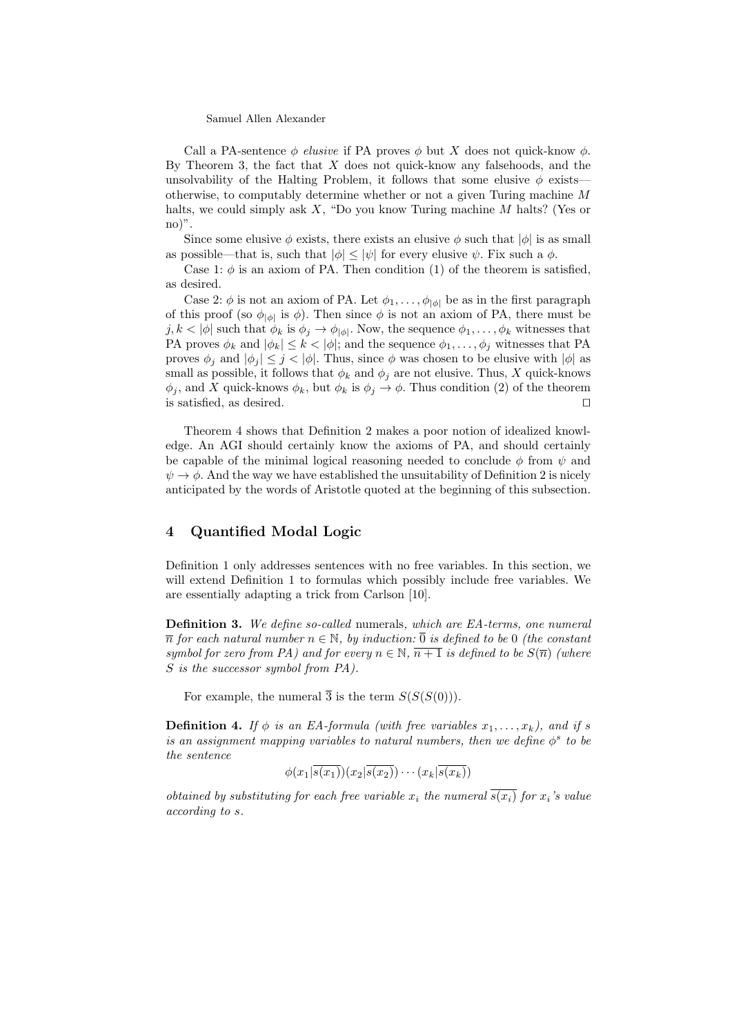Call a PA-sentence  $\phi$  elusive if PA proves  $\phi$  but X does not quick-know  $\phi$ . By Theorem 3, the fact that  $X$  does not quick-know any falsehoods, and the unsolvability of the Halting Problem, it follows that some elusive  $\phi$  exists otherwise, to computably determine whether or not a given Turing machine M halts, we could simply ask X, "Do you know Turing machine M halts? (Yes or no)".

Since some elusive  $\phi$  exists, there exists an elusive  $\phi$  such that  $|\phi|$  is as small as possible—that is, such that  $|\phi| \leq |\psi|$  for every elusive  $\psi$ . Fix such a  $\phi$ .

Case 1:  $\phi$  is an axiom of PA. Then condition (1) of the theorem is satisfied, as desired.

Case 2:  $\phi$  is not an axiom of PA. Let  $\phi_1, \ldots, \phi_{|\phi|}$  be as in the first paragraph of this proof (so  $\phi_{|\phi|}$  is  $\phi$ ). Then since  $\phi$  is not an axiom of PA, there must be  $j, k < |\phi|$  such that  $\phi_k$  is  $\phi_j \to \phi_{|\phi|}$ . Now, the sequence  $\phi_1, \ldots, \phi_k$  witnesses that PA proves  $\phi_k$  and  $|\phi_k| \leq k < |\phi|$ ; and the sequence  $\phi_1, \ldots, \phi_j$  witnesses that PA proves  $\phi_i$  and  $|\phi_i| \leq i \leq |\phi|$ . Thus, since  $\phi$  was chosen to be elusive with  $|\phi|$  as small as possible, it follows that  $\phi_k$  and  $\phi_j$  are not elusive. Thus, X quick-knows  $\phi_i$ , and X quick-knows  $\phi_k$ , but  $\phi_k$  is  $\phi_i \to \phi$ . Thus condition (2) of the theorem is satisfied, as desired.  $\Box$ 

Theorem 4 shows that Definition 2 makes a poor notion of idealized knowledge. An AGI should certainly know the axioms of PA, and should certainly be capable of the minimal logical reasoning needed to conclude  $\phi$  from  $\psi$  and  $\psi \to \phi$ . And the way we have established the unsuitability of Definition 2 is nicely anticipated by the words of Aristotle quoted at the beginning of this subsection.

# 4 Quantified Modal Logic

Definition 1 only addresses sentences with no free variables. In this section, we will extend Definition 1 to formulas which possibly include free variables. We are essentially adapting a trick from Carlson [10].

Definition 3. We define so-called numerals, which are EA-terms, one numeral  $\overline{n}$  for each natural number  $n \in \mathbb{N}$ , by induction:  $\overline{0}$  is defined to be 0 (the constant symbol for zero from PA) and for every  $n \in \mathbb{N}$ ,  $\overline{n+1}$  is defined to be  $S(\overline{n})$  (where S is the successor symbol from PA).

For example, the numeral  $\overline{3}$  is the term  $S(S(S(0)))$ .

**Definition 4.** If  $\phi$  is an EA-formula (with free variables  $x_1, \ldots, x_k$ ), and if s is an assignment mapping variables to natural numbers, then we define  $\phi^s$  to be the sentence

$$
\phi(x_1|\overline{s(x_1)})(x_2|\overline{s(x_2)})\cdots(x_k|\overline{s(x_k)})
$$

obtained by substituting for each free variable  $x_i$  the numeral  $\overline{s(x_i)}$  for  $x_i$ 's value according to s.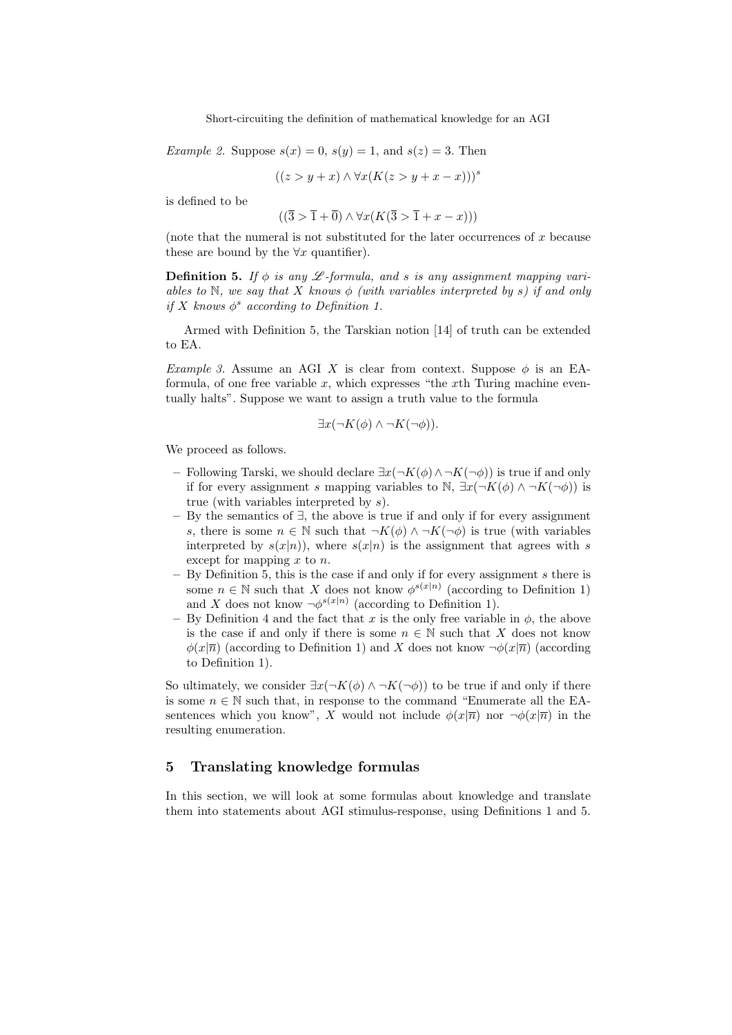*Example 2.* Suppose  $s(x) = 0$ ,  $s(y) = 1$ , and  $s(z) = 3$ . Then

$$
((z > y + x) \land \forall x (K(z > y + x - x)))^{s}
$$

is defined to be

$$
((\overline{3} > \overline{1} + \overline{0}) \land \forall x (K(\overline{3} > \overline{1} + x - x)))
$$

(note that the numeral is not substituted for the later occurrences of  $x$  because these are bound by the  $\forall x$  quantifier).

**Definition 5.** If  $\phi$  is any  $\mathscr L$ -formula, and s is any assignment mapping variables to N, we say that X knows  $\phi$  (with variables interpreted by s) if and only if X knows  $\phi^s$  according to Definition 1.

Armed with Definition 5, the Tarskian notion [14] of truth can be extended to EA.

Example 3. Assume an AGI X is clear from context. Suppose  $\phi$  is an EAformula, of one free variable  $x$ , which expresses "the  $x$ th Turing machine eventually halts". Suppose we want to assign a truth value to the formula

$$
\exists x (\neg K(\phi) \land \neg K(\neg \phi)).
$$

We proceed as follows.

- Following Tarski, we should declare  $\exists x(\neg K(\phi) \land \neg K(\neg \phi))$  is true if and only if for every assignment s mapping variables to N,  $\exists x (\neg K(\phi) \land \neg K(\neg \phi))$  is true (with variables interpreted by s).
- By the semantics of ∃, the above is true if and only if for every assignment s, there is some  $n \in \mathbb{N}$  such that  $\neg K(\phi) \wedge \neg K(\neg \phi)$  is true (with variables interpreted by  $s(x|n)$ , where  $s(x|n)$  is the assignment that agrees with s except for mapping  $x$  to  $n$ .
- By Definition 5, this is the case if and only if for every assignment s there is some  $n \in \mathbb{N}$  such that X does not know  $\phi^{s(x|n)}$  (according to Definition 1) and X does not know  $\neg \phi^{s(x|n)}$  (according to Definition 1).
- By Definition 4 and the fact that x is the only free variable in  $\phi$ , the above is the case if and only if there is some  $n \in \mathbb{N}$  such that X does not know  $\phi(x|\overline{n})$  (according to Definition 1) and X does not know  $\neg \phi(x|\overline{n})$  (according to Definition 1).

So ultimately, we consider  $\exists x(\neg K(\phi) \land \neg K(\neg \phi))$  to be true if and only if there is some  $n \in \mathbb{N}$  such that, in response to the command "Enumerate all the EAsentences which you know", X would not include  $\phi(x|\overline{n})$  nor  $\neg \phi(x|\overline{n})$  in the resulting enumeration.

# 5 Translating knowledge formulas

In this section, we will look at some formulas about knowledge and translate them into statements about AGI stimulus-response, using Definitions 1 and 5.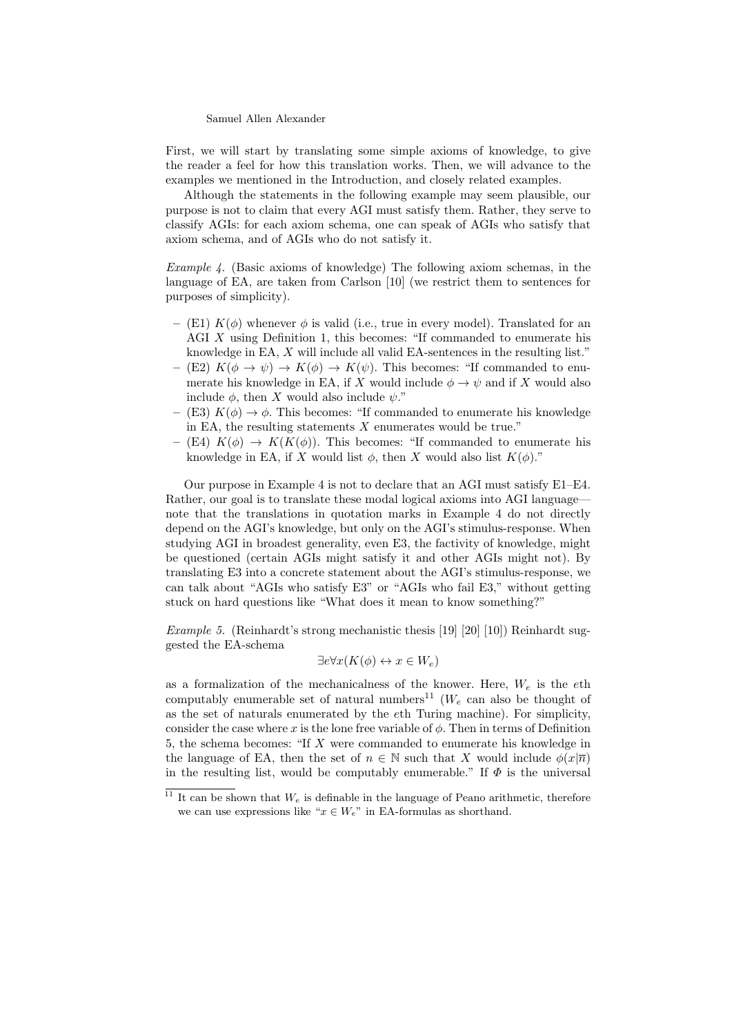First, we will start by translating some simple axioms of knowledge, to give the reader a feel for how this translation works. Then, we will advance to the examples we mentioned in the Introduction, and closely related examples.

Although the statements in the following example may seem plausible, our purpose is not to claim that every AGI must satisfy them. Rather, they serve to classify AGIs: for each axiom schema, one can speak of AGIs who satisfy that axiom schema, and of AGIs who do not satisfy it.

*Example 4.* (Basic axioms of knowledge) The following axiom schemas, in the language of EA, are taken from Carlson [10] (we restrict them to sentences for purposes of simplicity).

- (E1)  $K(\phi)$  whenever  $\phi$  is valid (i.e., true in every model). Translated for an AGI X using Definition 1, this becomes: "If commanded to enumerate his knowledge in EA, X will include all valid EA-sentences in the resulting list."
- (E2)  $K(\phi \to \psi) \to K(\phi) \to K(\psi)$ . This becomes: "If commanded to enumerate his knowledge in EA, if X would include  $\phi \to \psi$  and if X would also include  $\phi$ , then X would also include  $\psi$ ."
- (E3)  $K(\phi) \rightarrow \phi$ . This becomes: "If commanded to enumerate his knowledge in EA, the resulting statements  $X$  enumerates would be true."
- (E4)  $K(\phi) \rightarrow K(K(\phi))$ . This becomes: "If commanded to enumerate his knowledge in EA, if X would list  $\phi$ , then X would also list  $K(\phi)$ ."

Our purpose in Example 4 is not to declare that an AGI must satisfy E1–E4. Rather, our goal is to translate these modal logical axioms into AGI language note that the translations in quotation marks in Example 4 do not directly depend on the AGI's knowledge, but only on the AGI's stimulus-response. When studying AGI in broadest generality, even E3, the factivity of knowledge, might be questioned (certain AGIs might satisfy it and other AGIs might not). By translating E3 into a concrete statement about the AGI's stimulus-response, we can talk about "AGIs who satisfy E3" or "AGIs who fail E3," without getting stuck on hard questions like "What does it mean to know something?"

Example 5. (Reinhardt's strong mechanistic thesis [19] [20] [10]) Reinhardt suggested the EA-schema

$$
\exists e \forall x (K(\phi) \leftrightarrow x \in W_e)
$$

as a formalization of the mechanicalness of the knower. Here,  $W_e$  is the eth computably enumerable set of natural numbers<sup>11</sup> ( $W_e$  can also be thought of as the set of naturals enumerated by the eth Turing machine). For simplicity, consider the case where x is the lone free variable of  $\phi$ . Then in terms of Definition 5, the schema becomes: "If X were commanded to enumerate his knowledge in the language of EA, then the set of  $n \in \mathbb{N}$  such that X would include  $\phi(x|\overline{n})$ in the resulting list, would be computably enumerable." If  $\Phi$  is the universal

<sup>&</sup>lt;sup>11</sup> It can be shown that  $W_e$  is definable in the language of Peano arithmetic, therefore we can use expressions like " $x \in W_e$ " in EA-formulas as shorthand.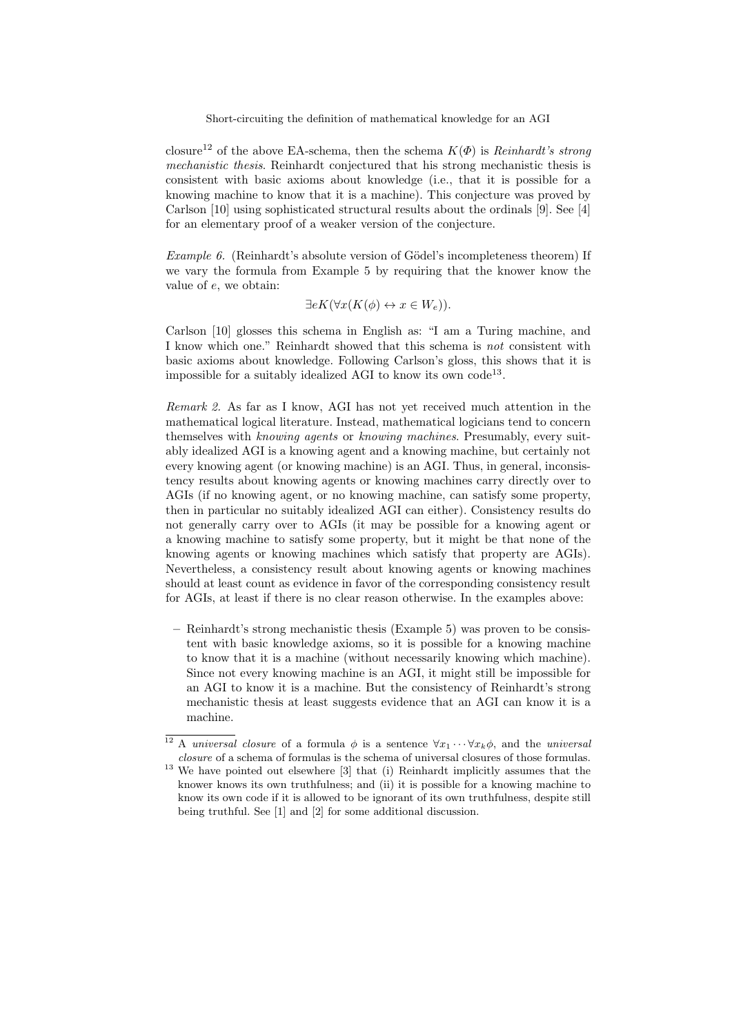closure<sup>12</sup> of the above EA-schema, then the schema  $K(\Phi)$  is Reinhardt's strong mechanistic thesis. Reinhardt conjectured that his strong mechanistic thesis is consistent with basic axioms about knowledge (i.e., that it is possible for a knowing machine to know that it is a machine). This conjecture was proved by Carlson [10] using sophisticated structural results about the ordinals [9]. See [4] for an elementary proof of a weaker version of the conjecture.

*Example 6.* (Reinhardt's absolute version of Gödel's incompleteness theorem) If we vary the formula from Example 5 by requiring that the knower know the value of e, we obtain:

$$
\exists e K(\forall x (K(\phi) \leftrightarrow x \in W_e)).
$$

Carlson [10] glosses this schema in English as: "I am a Turing machine, and I know which one." Reinhardt showed that this schema is not consistent with basic axioms about knowledge. Following Carlson's gloss, this shows that it is impossible for a suitably idealized AGI to know its own  $\text{code}^{13}$ .

Remark 2. As far as I know, AGI has not yet received much attention in the mathematical logical literature. Instead, mathematical logicians tend to concern themselves with knowing agents or knowing machines. Presumably, every suitably idealized AGI is a knowing agent and a knowing machine, but certainly not every knowing agent (or knowing machine) is an AGI. Thus, in general, inconsistency results about knowing agents or knowing machines carry directly over to AGIs (if no knowing agent, or no knowing machine, can satisfy some property, then in particular no suitably idealized AGI can either). Consistency results do not generally carry over to AGIs (it may be possible for a knowing agent or a knowing machine to satisfy some property, but it might be that none of the knowing agents or knowing machines which satisfy that property are AGIs). Nevertheless, a consistency result about knowing agents or knowing machines should at least count as evidence in favor of the corresponding consistency result for AGIs, at least if there is no clear reason otherwise. In the examples above:

– Reinhardt's strong mechanistic thesis (Example 5) was proven to be consistent with basic knowledge axioms, so it is possible for a knowing machine to know that it is a machine (without necessarily knowing which machine). Since not every knowing machine is an AGI, it might still be impossible for an AGI to know it is a machine. But the consistency of Reinhardt's strong mechanistic thesis at least suggests evidence that an AGI can know it is a machine.

<sup>&</sup>lt;sup>12</sup> A universal closure of a formula  $\phi$  is a sentence  $\forall x_1 \cdots \forall x_k \phi$ , and the universal closure of a schema of formulas is the schema of universal closures of those formulas.

<sup>13</sup> We have pointed out elsewhere [3] that (i) Reinhardt implicitly assumes that the knower knows its own truthfulness; and (ii) it is possible for a knowing machine to know its own code if it is allowed to be ignorant of its own truthfulness, despite still being truthful. See [1] and [2] for some additional discussion.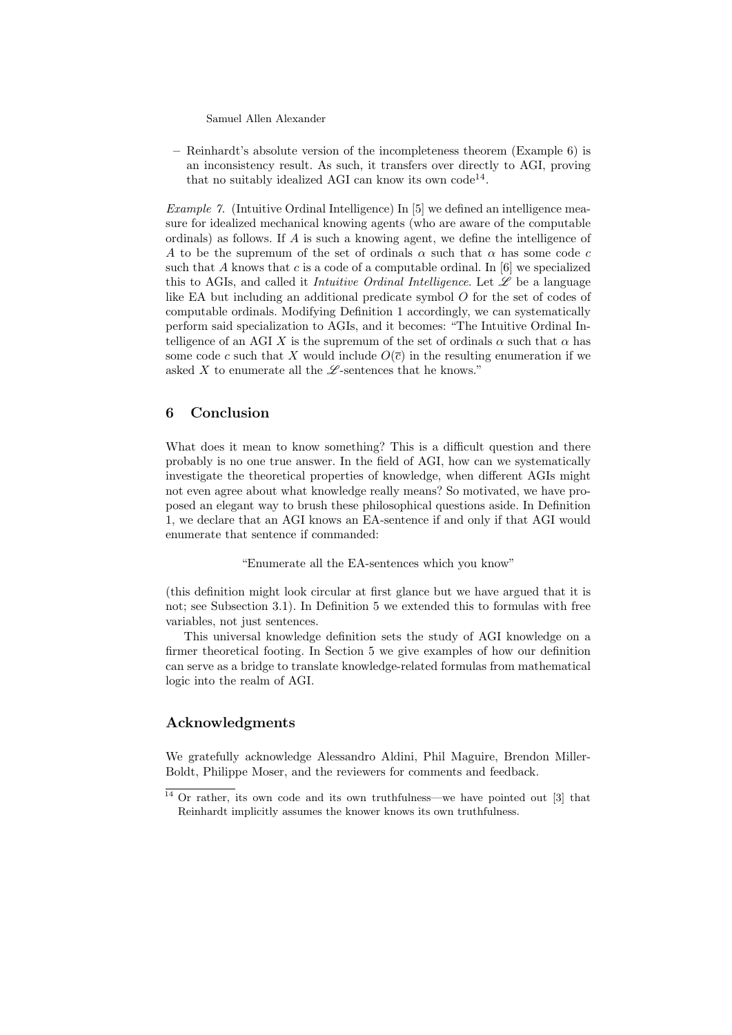– Reinhardt's absolute version of the incompleteness theorem (Example 6) is an inconsistency result. As such, it transfers over directly to AGI, proving that no suitably idealized AGI can know its own  $\text{code}^{14}$ .

Example 7. (Intuitive Ordinal Intelligence) In [5] we defined an intelligence measure for idealized mechanical knowing agents (who are aware of the computable ordinals) as follows. If A is such a knowing agent, we define the intelligence of A to be the supremum of the set of ordinals  $\alpha$  such that  $\alpha$  has some code c such that A knows that c is a code of a computable ordinal. In  $|6|$  we specialized this to AGIs, and called it *Intuitive Ordinal Intelligence*. Let  $\mathscr L$  be a language like EA but including an additional predicate symbol O for the set of codes of computable ordinals. Modifying Definition 1 accordingly, we can systematically perform said specialization to AGIs, and it becomes: "The Intuitive Ordinal Intelligence of an AGI X is the supremum of the set of ordinals  $\alpha$  such that  $\alpha$  has some code c such that X would include  $O(\overline{c})$  in the resulting enumeration if we asked  $X$  to enumerate all the  $\mathscr L$ -sentences that he knows."

# 6 Conclusion

What does it mean to know something? This is a difficult question and there probably is no one true answer. In the field of AGI, how can we systematically investigate the theoretical properties of knowledge, when different AGIs might not even agree about what knowledge really means? So motivated, we have proposed an elegant way to brush these philosophical questions aside. In Definition 1, we declare that an AGI knows an EA-sentence if and only if that AGI would enumerate that sentence if commanded:

"Enumerate all the EA-sentences which you know"

(this definition might look circular at first glance but we have argued that it is not; see Subsection 3.1). In Definition 5 we extended this to formulas with free variables, not just sentences.

This universal knowledge definition sets the study of AGI knowledge on a firmer theoretical footing. In Section 5 we give examples of how our definition can serve as a bridge to translate knowledge-related formulas from mathematical logic into the realm of AGI.

## Acknowledgments

We gratefully acknowledge Alessandro Aldini, Phil Maguire, Brendon Miller-Boldt, Philippe Moser, and the reviewers for comments and feedback.

<sup>14</sup> Or rather, its own code and its own truthfulness—we have pointed out [3] that Reinhardt implicitly assumes the knower knows its own truthfulness.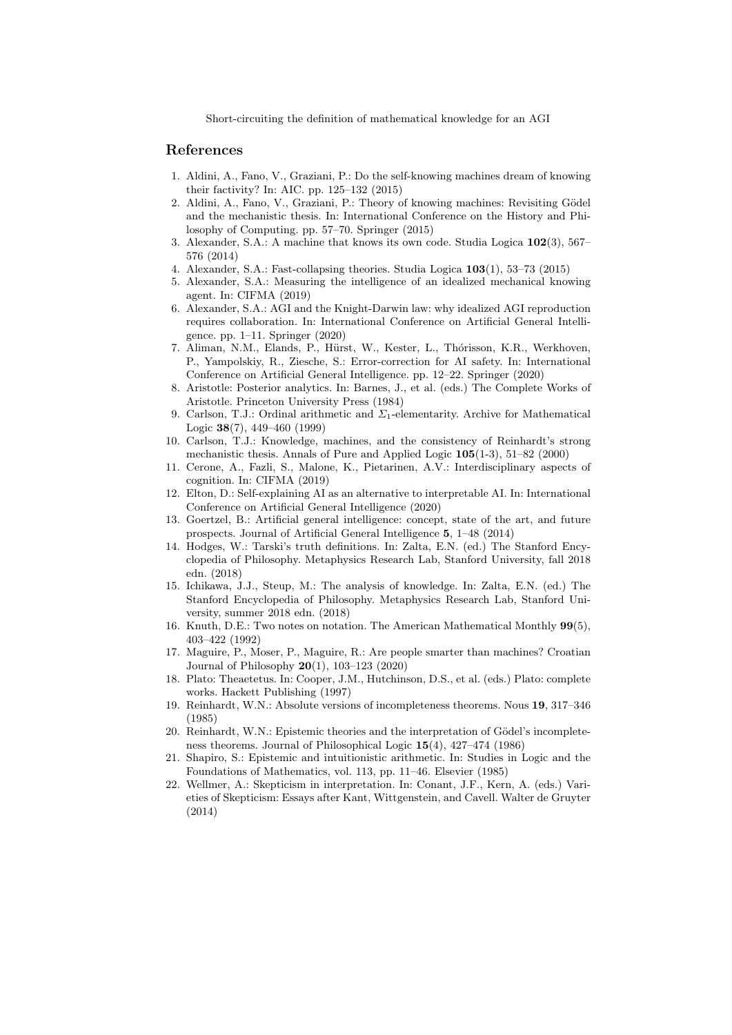## References

- 1. Aldini, A., Fano, V., Graziani, P.: Do the self-knowing machines dream of knowing their factivity? In: AIC. pp. 125–132 (2015)
- 2. Aldini, A., Fano, V., Graziani, P.: Theory of knowing machines: Revisiting Gödel and the mechanistic thesis. In: International Conference on the History and Philosophy of Computing. pp. 57–70. Springer (2015)
- 3. Alexander, S.A.: A machine that knows its own code. Studia Logica 102(3), 567– 576 (2014)
- 4. Alexander, S.A.: Fast-collapsing theories. Studia Logica 103(1), 53–73 (2015)
- 5. Alexander, S.A.: Measuring the intelligence of an idealized mechanical knowing agent. In: CIFMA (2019)
- 6. Alexander, S.A.: AGI and the Knight-Darwin law: why idealized AGI reproduction requires collaboration. In: International Conference on Artificial General Intelligence. pp. 1–11. Springer (2020)
- 7. Aliman, N.M., Elands, P., Hürst, W., Kester, L., Thórisson, K.R., Werkhoven, P., Yampolskiy, R., Ziesche, S.: Error-correction for AI safety. In: International Conference on Artificial General Intelligence. pp. 12–22. Springer (2020)
- 8. Aristotle: Posterior analytics. In: Barnes, J., et al. (eds.) The Complete Works of Aristotle. Princeton University Press (1984)
- 9. Carlson, T.J.: Ordinal arithmetic and  $\Sigma_1$ -elementarity. Archive for Mathematical Logic 38(7), 449–460 (1999)
- 10. Carlson, T.J.: Knowledge, machines, and the consistency of Reinhardt's strong mechanistic thesis. Annals of Pure and Applied Logic  $105(1-3)$ ,  $51-82$  (2000)
- 11. Cerone, A., Fazli, S., Malone, K., Pietarinen, A.V.: Interdisciplinary aspects of cognition. In: CIFMA (2019)
- 12. Elton, D.: Self-explaining AI as an alternative to interpretable AI. In: International Conference on Artificial General Intelligence (2020)
- 13. Goertzel, B.: Artificial general intelligence: concept, state of the art, and future prospects. Journal of Artificial General Intelligence 5, 1–48 (2014)
- 14. Hodges, W.: Tarski's truth definitions. In: Zalta, E.N. (ed.) The Stanford Encyclopedia of Philosophy. Metaphysics Research Lab, Stanford University, fall 2018 edn. (2018)
- 15. Ichikawa, J.J., Steup, M.: The analysis of knowledge. In: Zalta, E.N. (ed.) The Stanford Encyclopedia of Philosophy. Metaphysics Research Lab, Stanford University, summer 2018 edn. (2018)
- 16. Knuth, D.E.: Two notes on notation. The American Mathematical Monthly 99(5), 403–422 (1992)
- 17. Maguire, P., Moser, P., Maguire, R.: Are people smarter than machines? Croatian Journal of Philosophy 20(1), 103–123 (2020)
- 18. Plato: Theaetetus. In: Cooper, J.M., Hutchinson, D.S., et al. (eds.) Plato: complete works. Hackett Publishing (1997)
- 19. Reinhardt, W.N.: Absolute versions of incompleteness theorems. Nous 19, 317–346 (1985)
- 20. Reinhardt, W.N.: Epistemic theories and the interpretation of Gödel's incompleteness theorems. Journal of Philosophical Logic 15(4), 427–474 (1986)
- 21. Shapiro, S.: Epistemic and intuitionistic arithmetic. In: Studies in Logic and the Foundations of Mathematics, vol. 113, pp. 11–46. Elsevier (1985)
- 22. Wellmer, A.: Skepticism in interpretation. In: Conant, J.F., Kern, A. (eds.) Varieties of Skepticism: Essays after Kant, Wittgenstein, and Cavell. Walter de Gruyter (2014)